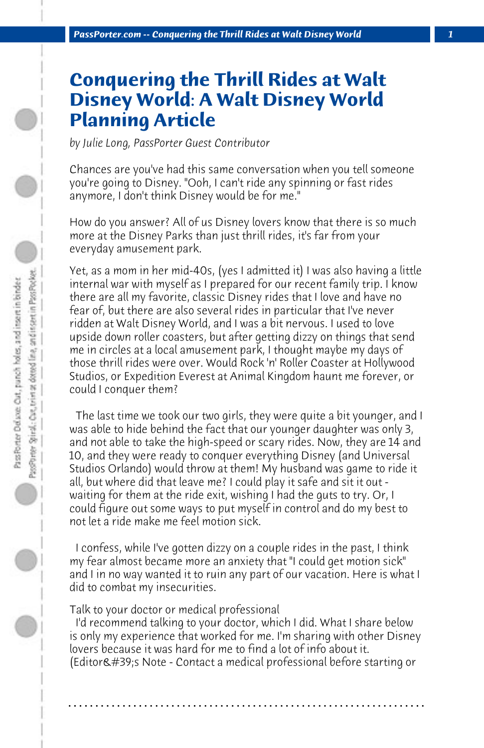# **Conquering the Thrill Rides at Walt Disney World: A Walt Disney World Planning Article**

*by Julie Long, PassPorter Guest Contributor*

Chances are you've had this same conversation when you tell someone you're going to Disney. "Ooh, I can't ride any spinning or fast rides anymore, I don't think Disney would be for me."

How do you answer? All of us Disney lovers know that there is so much more at the Disney Parks than just thrill rides, it's far from your everyday amusement park.

Yet, as a mom in her mid-40s, (yes I admitted it) I was also having a little internal war with myself as I prepared for our recent family trip. I know there are all my favorite, classic Disney rides that I love and have no fear of, but there are also several rides in particular that I've never ridden at Walt Disney World, and I was a bit nervous. I used to love upside down roller coasters, but after getting dizzy on things that send me in circles at a local amusement park, I thought maybe my days of those thrill rides were over. Would Rock 'n' Roller Coaster at Hollywood Studios, or Expedition Everest at Animal Kingdom haunt me forever, or could I conquer them?

 The last time we took our two girls, they were quite a bit younger, and I was able to hide behind the fact that our younger daughter was only 3, and not able to take the high-speed or scary rides. Now, they are 14 and 10, and they were ready to conquer everything Disney (and Universal Studios Orlando) would throw at them! My husband was game to ride it all, but where did that leave me? I could play it safe and sit it out waiting for them at the ride exit, wishing I had the guts to try. Or, I could figure out some ways to put myself in control and do my best to not let a ride make me feel motion sick.

 I confess, while I've gotten dizzy on a couple rides in the past, I think my fear almost became more an anxiety that "I could get motion sick" and I in no way wanted it to ruin any part of our vacation. Here is what I did to combat my insecurities.

## Talk to your doctor or medical professional

 I'd recommend talking to your doctor, which I did. What I share below is only my experience that worked for me. I'm sharing with other Disney lovers because it was hard for me to find a lot of info about it. (Editor's Note - Contact a medical professional before starting or

**. . . . . . . . . . . . . . . . . . . . . . . . . . . . . . . . . . . . . . . . . . . . . . . . . . . . . . . . . . . . . . . . . .**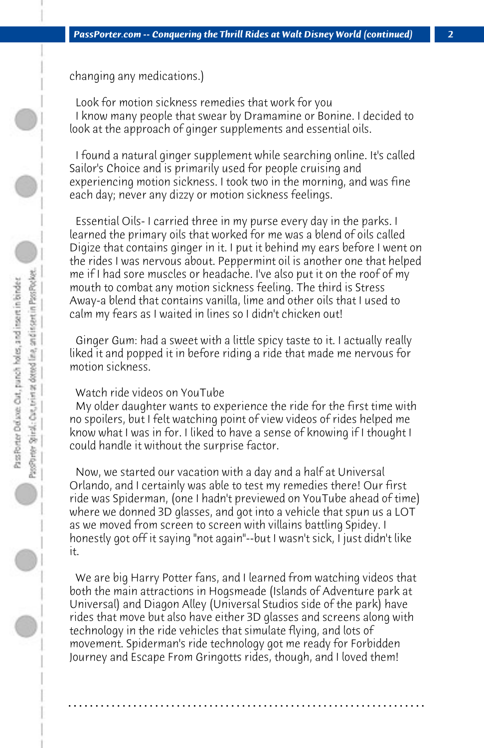changing any medications.)

 Look for motion sickness remedies that work for you I know many people that swear by Dramamine or Bonine. I decided to look at the approach of ginger supplements and essential oils.

 I found a natural ginger supplement while searching online. It's called Sailor's Choice and is primarily used for people cruising and experiencing motion sickness. I took two in the morning, and was fine each day; never any dizzy or motion sickness feelings.

 Essential Oils- I carried three in my purse every day in the parks. I learned the primary oils that worked for me was a blend of oils called Digize that contains ginger in it. I put it behind my ears before I went on the rides I was nervous about. Peppermint oil is another one that helped me if I had sore muscles or headache. I've also put it on the roof of my mouth to combat any motion sickness feeling. The third is Stress Away-a blend that contains vanilla, lime and other oils that I used to calm my fears as I waited in lines so I didn't chicken out!

 Ginger Gum: had a sweet with a little spicy taste to it. I actually really liked it and popped it in before riding a ride that made me nervous for motion sickness.

### Watch ride videos on YouTube

 My older daughter wants to experience the ride for the first time with no spoilers, but I felt watching point of view videos of rides helped me know what I was in for. I liked to have a sense of knowing if I thought I could handle it without the surprise factor.

 Now, we started our vacation with a day and a half at Universal Orlando, and I certainly was able to test my remedies there! Our first ride was Spiderman, (one I hadn't previewed on YouTube ahead of time) where we donned 3D glasses, and got into a vehicle that spun us a LOT as we moved from screen to screen with villains battling Spidey. I honestly got off it saying "not again"--but I wasn't sick, I just didn't like it.

 We are big Harry Potter fans, and I learned from watching videos that both the main attractions in Hogsmeade (Islands of Adventure park at Universal) and Diagon Alley (Universal Studios side of the park) have rides that move but also have either 3D glasses and screens along with technology in the ride vehicles that simulate flying, and lots of movement. Spiderman's ride technology got me ready for Forbidden Journey and Escape From Gringotts rides, though, and I loved them!

**. . . . . . . . . . . . . . . . . . . . . . . . . . . . . . . . . . . . . . . . . . . . . . . . . . . . . . . . . . . . . . . . . .**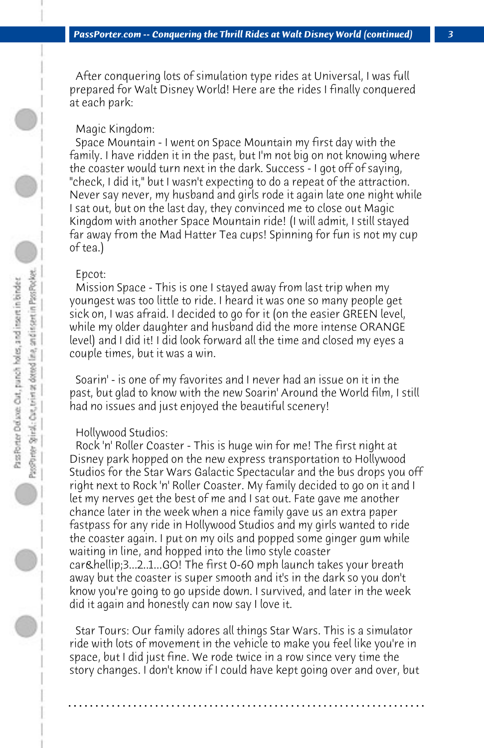After conquering lots of simulation type rides at Universal, I was full prepared for Walt Disney World! Here are the rides I finally conquered at each park:

#### Magic Kingdom:

 Space Mountain - I went on Space Mountain my first day with the family. I have ridden it in the past, but I'm not big on not knowing where the coaster would turn next in the dark. Success - I got off of saying, "check, I did it," but I wasn't expecting to do a repeat of the attraction. Never say never, my husband and girls rode it again late one night while I sat out, but on the last day, they convinced me to close out Magic Kingdom with another Space Mountain ride! (I will admit, I still stayed far away from the Mad Hatter Tea cups! Spinning for fun is not my cup of tea.)

#### Epcot:

 Mission Space - This is one I stayed away from last trip when my youngest was too little to ride. I heard it was one so many people get sick on, I was afraid. I decided to go for it (on the easier GREEN level, while my older daughter and husband did the more intense ORANGE level) and I did it! I did look forward all the time and closed my eyes a couple times, but it was a win.

 Soarin' - is one of my favorites and I never had an issue on it in the past, but glad to know with the new Soarin' Around the World film, I still had no issues and just enjoyed the beautiful scenery!

#### Hollywood Studios:

 Rock 'n' Roller Coaster - This is huge win for me! The first night at Disney park hopped on the new express transportation to Hollywood Studios for the Star Wars Galactic Spectacular and the bus drops you off right next to Rock 'n' Roller Coaster. My family decided to go on it and I let my nerves get the best of me and I sat out. Fate gave me another chance later in the week when a nice family gave us an extra paper fastpass for any ride in Hollywood Studios and my girls wanted to ride the coaster again. I put on my oils and popped some ginger gum while waiting in line, and hopped into the limo style coaster car & hellip; 3...2..1...GO! The first 0-60 mph launch takes your breath away but the coaster is super smooth and it's in the dark so you don't know you're going to go upside down. I survived, and later in the week did it again and honestly can now say I love it.

 Star Tours: Our family adores all things Star Wars. This is a simulator ride with lots of movement in the vehicle to make you feel like you're in space, but I did just fine. We rode twice in a row since very time the story changes. I don't know if I could have kept going over and over, but

**. . . . . . . . . . . . . . . . . . . . . . . . . . . . . . . . . . . . . . . . . . . . . . . . . . . . . . . . . . . . . . . . . .**